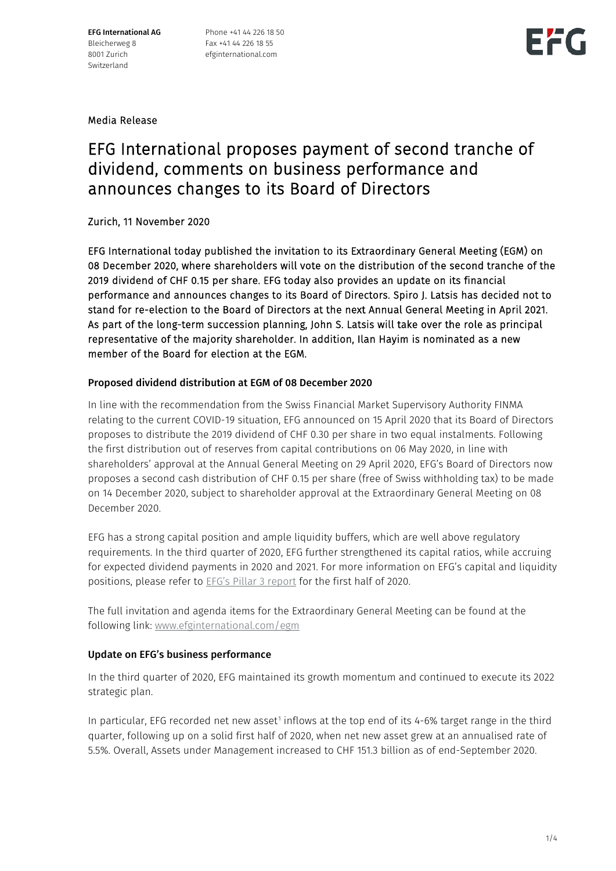EFG International AG Bleicherweg 8 8001 Zurich Switzerland

Phone +41 44 226 18 50 Fax +41 44 226 18 55 efginternational.com



Media Release

## EFG International proposes payment of second tranche of dividend, comments on business performance and announces changes to its Board of Directors

Zurich, 11 November 2020

EFG International today published the invitation to its Extraordinary General Meeting (EGM) on 08 December 2020, where shareholders will vote on the distribution of the second tranche of the 2019 dividend of CHF 0.15 per share. EFG today also provides an update on its financial performance and announces changes to its Board of Directors. Spiro J. Latsis has decided not to stand for re-election to the Board of Directors at the next Annual General Meeting in April 2021. As part of the long-term succession planning, John S. Latsis will take over the role as principal representative of the majority shareholder. In addition, Ilan Hayim is nominated as a new member of the Board for election at the EGM.

### Proposed dividend distribution at EGM of 08 December 2020

In line with the recommendation from the Swiss Financial Market Supervisory Authority FINMA relating to the current COVID-19 situation, EFG announced on 15 April 2020 that its Board of Directors proposes to distribute the 2019 dividend of CHF 0.30 per share in two equal instalments. Following the first distribution out of reserves from capital contributions on 06 May 2020, in line with shareholders' approval at the Annual General Meeting on 29 April 2020, EFG's Board of Directors now proposes a second cash distribution of CHF 0.15 per share (free of Swiss withholding tax) to be made on 14 December 2020, subject to shareholder approval at the Extraordinary General Meeting on 08 December 2020.

EFG has a strong capital position and ample liquidity buffers, which are well above regulatory requirements. In the third quarter of 2020, EFG further strengthened its capital ratios, while accruing for expected dividend payments in 2020 and 2021. For more information on EFG's capital and liquidity positions, please refer to **EFG's Pillar 3 report** for the first half of 2020.

The full invitation and agenda items for the Extraordinary General Meeting can be found at the following link: [www.efginternational.com/egm](http://www.efginternational.com/egm)

### Update on EFG's business performance

In the third quarter of 2020, EFG maintained its growth momentum and continued to execute its 2022 strategic plan.

In particular, EFG recorded net new asset<sup>[1](#page-2-0)</sup> inflows at the top end of its  $4-6\%$  target range in the third quarter, following up on a solid first half of 2020, when net new asset grew at an annualised rate of 5.5%. Overall, Assets under Management increased to CHF 151.3 billion as of end-September 2020.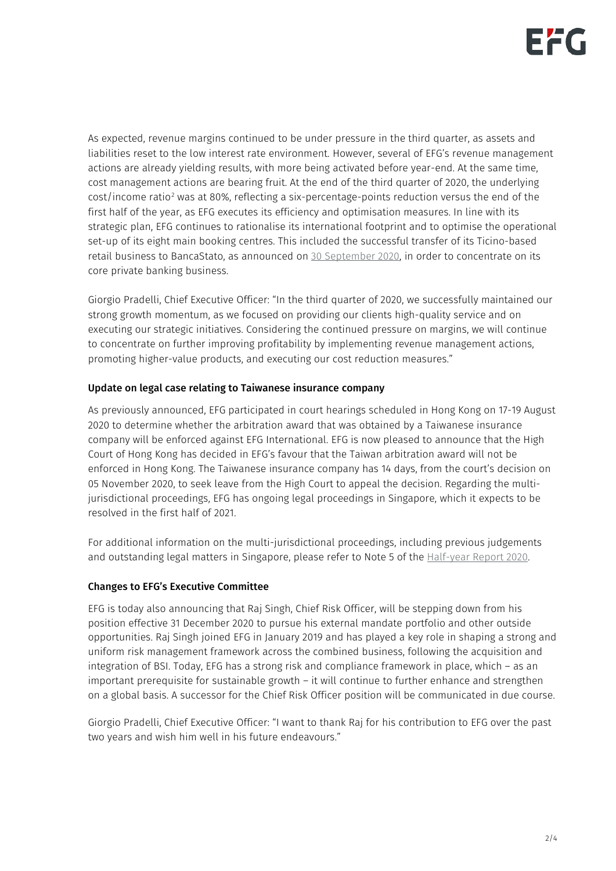As expected, revenue margins continued to be under pressure in the third quarter, as assets and liabilities reset to the low interest rate environment. However, several of EFG's revenue management actions are already yielding results, with more being activated before year-end. At the same time, cost management actions are bearing fruit. At the end of the third quarter of 2020, the underlying cost/income ratio<sup>[2](#page-2-1)</sup> was at 80%, reflecting a six-percentage-points reduction versus the end of the first half of the year, as EFG executes its efficiency and optimisation measures. In line with its strategic plan, EFG continues to rationalise its international footprint and to optimise the operational set-up of its eight main booking centres. This included the successful transfer of its Ticino-based retail business to BancaStato, as announced on [30 September 2020,](https://www.efginternational.com/doc/jcr:74906432-32b7-4631-9aa6-a14e9bf20e60/EFG%20International%20Media%20Release_300920_EN.pdf/lang:en/EFG%20International%20Media%20Release_300920_EN.pdf) in order to concentrate on its core private banking business.

Giorgio Pradelli, Chief Executive Officer: "In the third quarter of 2020, we successfully maintained our strong growth momentum, as we focused on providing our clients high-quality service and on executing our strategic initiatives. Considering the continued pressure on margins, we will continue to concentrate on further improving profitability by implementing revenue management actions, promoting higher-value products, and executing our cost reduction measures."

### Update on legal case relating to Taiwanese insurance company

As previously announced, EFG participated in court hearings scheduled in Hong Kong on 17-19 August 2020 to determine whether the arbitration award that was obtained by a Taiwanese insurance company will be enforced against EFG International. EFG is now pleased to announce that the High Court of Hong Kong has decided in EFG's favour that the Taiwan arbitration award will not be enforced in Hong Kong. The Taiwanese insurance company has 14 days, from the court's decision on 05 November 2020, to seek leave from the High Court to appeal the decision. Regarding the multijurisdictional proceedings, EFG has ongoing legal proceedings in Singapore, which it expects to be resolved in the first half of 2021.

For additional information on the multi-jurisdictional proceedings, including previous judgements and outstanding legal matters in Singapore, please refer to Note 5 of the [Half-year Report 2020.](http://www.efginternational.com/Half-year-report)

### Changes to EFG's Executive Committee

EFG is today also announcing that Raj Singh, Chief Risk Officer, will be stepping down from his position effective 31 December 2020 to pursue his external mandate portfolio and other outside opportunities. Raj Singh joined EFG in January 2019 and has played a key role in shaping a strong and uniform risk management framework across the combined business, following the acquisition and integration of BSI. Today, EFG has a strong risk and compliance framework in place, which – as an important prerequisite for sustainable growth – it will continue to further enhance and strengthen on a global basis. A successor for the Chief Risk Officer position will be communicated in due course.

Giorgio Pradelli, Chief Executive Officer: "I want to thank Raj for his contribution to EFG over the past two years and wish him well in his future endeavours."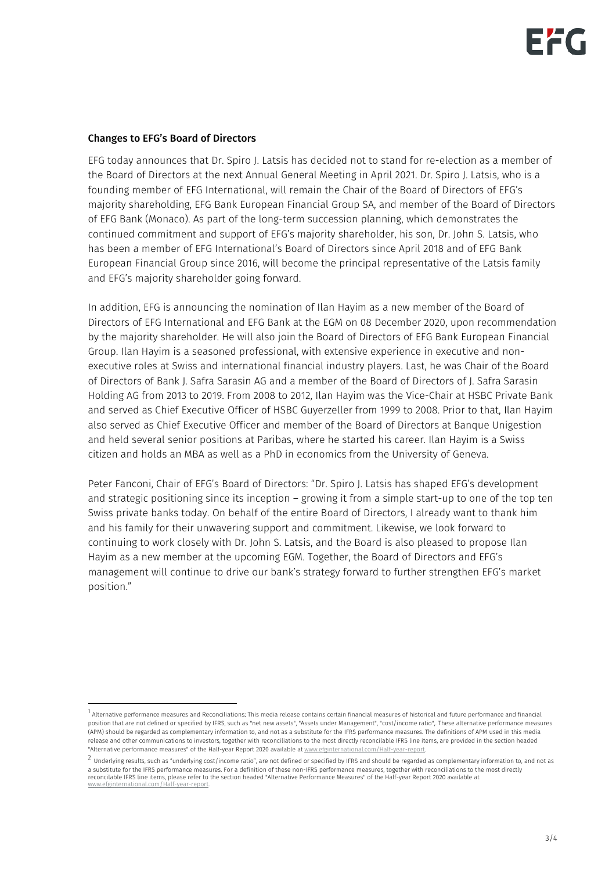#### Changes to EFG's Board of Directors

EFG today announces that Dr. Spiro J. Latsis has decided not to stand for re-election as a member of the Board of Directors at the next Annual General Meeting in April 2021. Dr. Spiro J. Latsis, who is a founding member of EFG International, will remain the Chair of the Board of Directors of EFG's majority shareholding, EFG Bank European Financial Group SA, and member of the Board of Directors of EFG Bank (Monaco). As part of the long-term succession planning, which demonstrates the continued commitment and support of EFG's majority shareholder, his son, Dr. John S. Latsis, who has been a member of EFG International's Board of Directors since April 2018 and of EFG Bank European Financial Group since 2016, will become the principal representative of the Latsis family and EFG's majority shareholder going forward.

In addition, EFG is announcing the nomination of Ilan Hayim as a new member of the Board of Directors of EFG International and EFG Bank at the EGM on 08 December 2020, upon recommendation by the majority shareholder. He will also join the Board of Directors of EFG Bank European Financial Group. Ilan Hayim is a seasoned professional, with extensive experience in executive and nonexecutive roles at Swiss and international financial industry players. Last, he was Chair of the Board of Directors of Bank J. Safra Sarasin AG and a member of the Board of Directors of J. Safra Sarasin Holding AG from 2013 to 2019. From 2008 to 2012, Ilan Hayim was the Vice-Chair at HSBC Private Bank and served as Chief Executive Officer of HSBC Guyerzeller from 1999 to 2008. Prior to that, Ilan Hayim also served as Chief Executive Officer and member of the Board of Directors at Banque Unigestion and held several senior positions at Paribas, where he started his career. Ilan Hayim is a Swiss citizen and holds an MBA as well as a PhD in economics from the University of Geneva.

Peter Fanconi, Chair of EFG's Board of Directors: "Dr. Spiro J. Latsis has shaped EFG's development and strategic positioning since its inception – growing it from a simple start-up to one of the top ten Swiss private banks today. On behalf of the entire Board of Directors, I already want to thank him and his family for their unwavering support and commitment. Likewise, we look forward to continuing to work closely with Dr. John S. Latsis, and the Board is also pleased to propose Ilan Hayim as a new member at the upcoming EGM. Together, the Board of Directors and EFG's management will continue to drive our bank's strategy forward to further strengthen EFG's market position."

<span id="page-2-0"></span><sup>1</sup> Alternative performance measures and Reconciliations: This media release contains certain financial measures of historical and future performance and financial position that are not defined or specified by IFRS, such as "net new assets", "Assets under Management", "cost/income ratio", These alternative performance measures (APM) should be regarded as complementary information to, and not as a substitute for the IFRS performance measures. The definitions of APM used in this media release and other communications to investors, together with reconciliations to the most directly reconcilable IFRS line items, are provided in the section headed "Alternative performance measures" of the Half-year Report 2020 available a[t www.efginternational.com/Half-year-report.](http://www.efginternational.com/Half-year-report)

<span id="page-2-1"></span><sup>&</sup>lt;sup>2</sup> Underlying results, such as "underlying cost/income ratio", are not defined or specified by IFRS and should be regarded as complementary information to, and not as a substitute for the IFRS performance measures. For a definition of these non-IFRS performance measures, together with reconciliations to the most directly reconcilable IFRS line items, please refer to the section headed "Alternative Performance Measures" of the Half-year Report 2020 available at<br><u>www.efginternational.com/Half-year-report</u>.